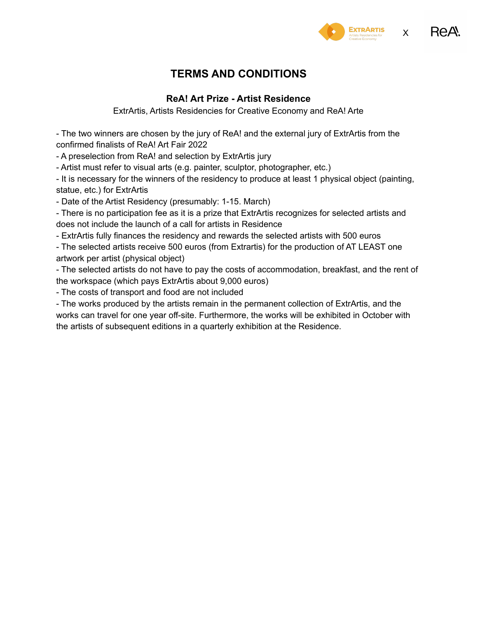



# **TERMS AND CONDITIONS**

#### **ReA! Art Prize - Artist Residence**

ExtrArtis, Artists Residencies for Creative Economy and ReA! Arte

- The two winners are chosen by the jury of ReA! and the external jury of ExtrArtis from the confirmed finalists of ReA! Art Fair 2022

- A preselection from ReA! and selection by ExtrArtis jury

- Artist must refer to visual arts (e.g. painter, sculptor, photographer, etc.)

- It is necessary for the winners of the residency to produce at least 1 physical object (painting, statue, etc.) for ExtrArtis

- Date of the Artist Residency (presumably: 1-15. March)

- There is no participation fee as it is a prize that ExtrArtis recognizes for selected artists and does not include the launch of a call for artists in Residence

- ExtrArtis fully finances the residency and rewards the selected artists with 500 euros

- The selected artists receive 500 euros (from Extrartis) for the production of AT LEAST one artwork per artist (physical object)

- The selected artists do not have to pay the costs of accommodation, breakfast, and the rent of the workspace (which pays ExtrArtis about 9,000 euros)

- The costs of transport and food are not included

- The works produced by the artists remain in the permanent collection of ExtrArtis, and the works can travel for one year off-site. Furthermore, the works will be exhibited in October with the artists of subsequent editions in a quarterly exhibition at the Residence.